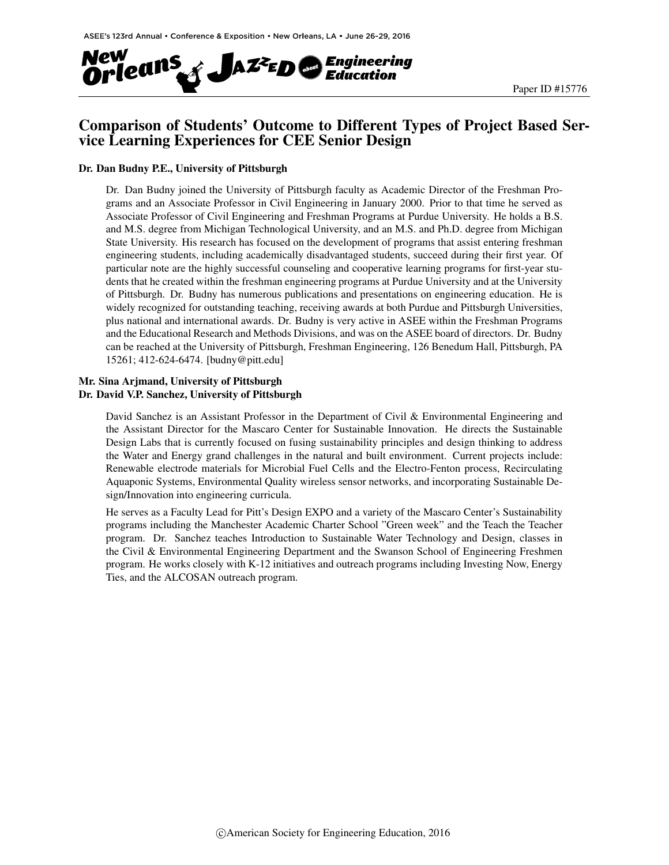

# Comparison of Students' Outcome to Different Types of Project Based Service Learning Experiences for CEE Senior Design

#### Dr. Dan Budny P.E., University of Pittsburgh

Dr. Dan Budny joined the University of Pittsburgh faculty as Academic Director of the Freshman Programs and an Associate Professor in Civil Engineering in January 2000. Prior to that time he served as Associate Professor of Civil Engineering and Freshman Programs at Purdue University. He holds a B.S. and M.S. degree from Michigan Technological University, and an M.S. and Ph.D. degree from Michigan State University. His research has focused on the development of programs that assist entering freshman engineering students, including academically disadvantaged students, succeed during their first year. Of particular note are the highly successful counseling and cooperative learning programs for first-year students that he created within the freshman engineering programs at Purdue University and at the University of Pittsburgh. Dr. Budny has numerous publications and presentations on engineering education. He is widely recognized for outstanding teaching, receiving awards at both Purdue and Pittsburgh Universities, plus national and international awards. Dr. Budny is very active in ASEE within the Freshman Programs and the Educational Research and Methods Divisions, and was on the ASEE board of directors. Dr. Budny can be reached at the University of Pittsburgh, Freshman Engineering, 126 Benedum Hall, Pittsburgh, PA 15261; 412-624-6474. [budny@pitt.edu]

#### Mr. Sina Arjmand, University of Pittsburgh Dr. David V.P. Sanchez, University of Pittsburgh

David Sanchez is an Assistant Professor in the Department of Civil & Environmental Engineering and the Assistant Director for the Mascaro Center for Sustainable Innovation. He directs the Sustainable Design Labs that is currently focused on fusing sustainability principles and design thinking to address the Water and Energy grand challenges in the natural and built environment. Current projects include: Renewable electrode materials for Microbial Fuel Cells and the Electro-Fenton process, Recirculating Aquaponic Systems, Environmental Quality wireless sensor networks, and incorporating Sustainable Design/Innovation into engineering curricula.

He serves as a Faculty Lead for Pitt's Design EXPO and a variety of the Mascaro Center's Sustainability programs including the Manchester Academic Charter School "Green week" and the Teach the Teacher program. Dr. Sanchez teaches Introduction to Sustainable Water Technology and Design, classes in the Civil & Environmental Engineering Department and the Swanson School of Engineering Freshmen program. He works closely with K-12 initiatives and outreach programs including Investing Now, Energy Ties, and the ALCOSAN outreach program.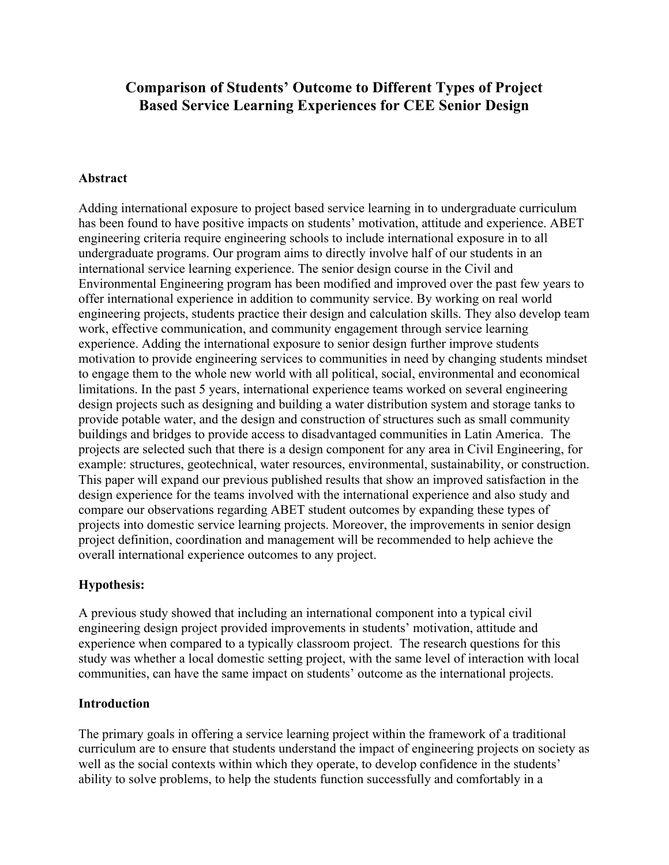# **Comparison of Students' Outcome to Different Types of Project Based Service Learning Experiences for CEE Senior Design**

### **Abstract**

Adding international exposure to project based service learning in to undergraduate curriculum has been found to have positive impacts on students' motivation, attitude and experience. ABET engineering criteria require engineering schools to include international exposure in to all undergraduate programs. Our program aims to directly involve half of our students in an international service learning experience. The senior design course in the Civil and Environmental Engineering program has been modified and improved over the past few years to offer international experience in addition to community service. By working on real world engineering projects, students practice their design and calculation skills. They also develop team work, effective communication, and community engagement through service learning experience. Adding the international exposure to senior design further improve students motivation to provide engineering services to communities in need by changing students mindset to engage them to the whole new world with all political, social, environmental and economical limitations. In the past 5 years, international experience teams worked on several engineering design projects such as designing and building a water distribution system and storage tanks to provide potable water, and the design and construction of structures such as small community buildings and bridges to provide access to disadvantaged communities in Latin America. The projects are selected such that there is a design component for any area in Civil Engineering, for example: structures, geotechnical, water resources, environmental, sustainability, or construction. This paper will expand our previous published results that show an improved satisfaction in the design experience for the teams involved with the international experience and also study and compare our observations regarding ABET student outcomes by expanding these types of projects into domestic service learning projects. Moreover, the improvements in senior design project definition, coordination and management will be recommended to help achieve the overall international experience outcomes to any project.

### **Hypothesis:**

A previous study showed that including an international component into a typical civil engineering design project provided improvements in students' motivation, attitude and experience when compared to a typically classroom project. The research questions for this study was whether a local domestic setting project, with the same level of interaction with local communities, can have the same impact on students' outcome as the international projects.

#### **Introduction**

The primary goals in offering a service learning project within the framework of a traditional curriculum are to ensure that students understand the impact of engineering projects on society as well as the social contexts within which they operate, to develop confidence in the students' ability to solve problems, to help the students function successfully and comfortably in a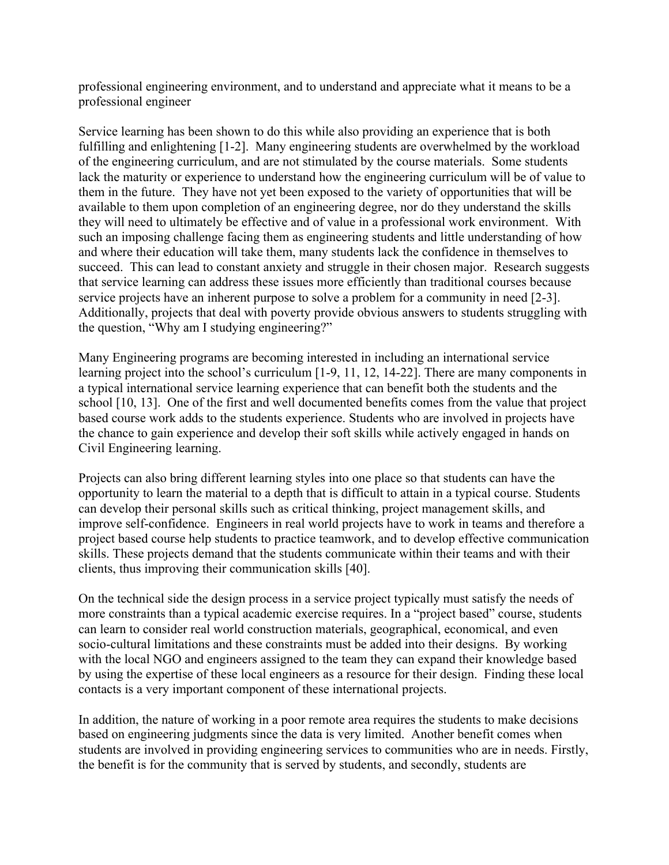professional engineering environment, and to understand and appreciate what it means to be a professional engineer

Service learning has been shown to do this while also providing an experience that is both fulfilling and enlightening [1-2]. Many engineering students are overwhelmed by the workload of the engineering curriculum, and are not stimulated by the course materials. Some students lack the maturity or experience to understand how the engineering curriculum will be of value to them in the future. They have not yet been exposed to the variety of opportunities that will be available to them upon completion of an engineering degree, nor do they understand the skills they will need to ultimately be effective and of value in a professional work environment. With such an imposing challenge facing them as engineering students and little understanding of how and where their education will take them, many students lack the confidence in themselves to succeed. This can lead to constant anxiety and struggle in their chosen major. Research suggests that service learning can address these issues more efficiently than traditional courses because service projects have an inherent purpose to solve a problem for a community in need [2-3]. Additionally, projects that deal with poverty provide obvious answers to students struggling with the question, "Why am I studying engineering?"

Many Engineering programs are becoming interested in including an international service learning project into the school's curriculum [1-9, 11, 12, 14-22]. There are many components in a typical international service learning experience that can benefit both the students and the school [10, 13]. One of the first and well documented benefits comes from the value that project based course work adds to the students experience. Students who are involved in projects have the chance to gain experience and develop their soft skills while actively engaged in hands on Civil Engineering learning.

Projects can also bring different learning styles into one place so that students can have the opportunity to learn the material to a depth that is difficult to attain in a typical course. Students can develop their personal skills such as critical thinking, project management skills, and improve self-confidence. Engineers in real world projects have to work in teams and therefore a project based course help students to practice teamwork, and to develop effective communication skills. These projects demand that the students communicate within their teams and with their clients, thus improving their communication skills [40].

On the technical side the design process in a service project typically must satisfy the needs of more constraints than a typical academic exercise requires. In a "project based" course, students can learn to consider real world construction materials, geographical, economical, and even socio-cultural limitations and these constraints must be added into their designs. By working with the local NGO and engineers assigned to the team they can expand their knowledge based by using the expertise of these local engineers as a resource for their design. Finding these local contacts is a very important component of these international projects.

In addition, the nature of working in a poor remote area requires the students to make decisions based on engineering judgments since the data is very limited. Another benefit comes when students are involved in providing engineering services to communities who are in needs. Firstly, the benefit is for the community that is served by students, and secondly, students are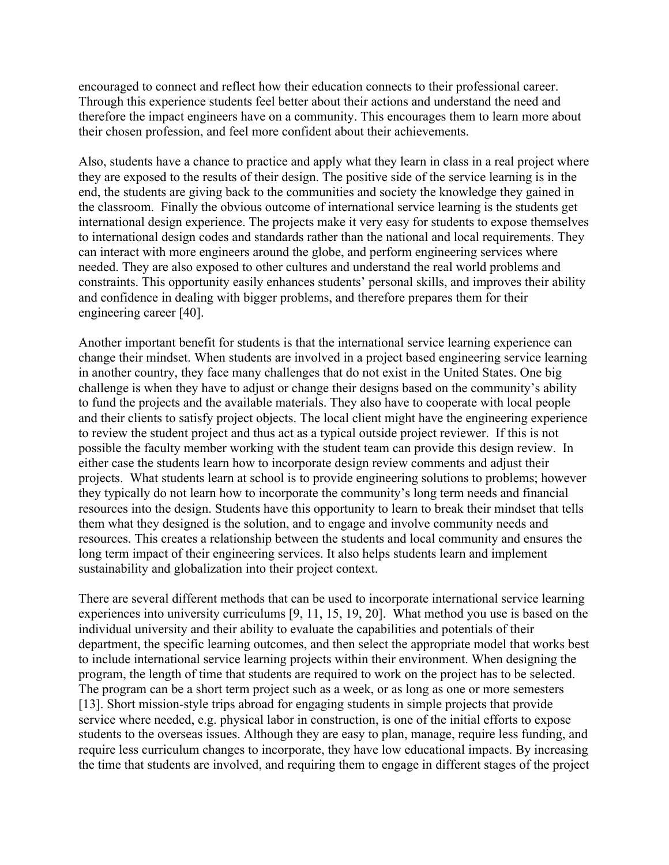encouraged to connect and reflect how their education connects to their professional career. Through this experience students feel better about their actions and understand the need and therefore the impact engineers have on a community. This encourages them to learn more about their chosen profession, and feel more confident about their achievements.

Also, students have a chance to practice and apply what they learn in class in a real project where they are exposed to the results of their design. The positive side of the service learning is in the end, the students are giving back to the communities and society the knowledge they gained in the classroom. Finally the obvious outcome of international service learning is the students get international design experience. The projects make it very easy for students to expose themselves to international design codes and standards rather than the national and local requirements. They can interact with more engineers around the globe, and perform engineering services where needed. They are also exposed to other cultures and understand the real world problems and constraints. This opportunity easily enhances students' personal skills, and improves their ability and confidence in dealing with bigger problems, and therefore prepares them for their engineering career [40].

Another important benefit for students is that the international service learning experience can change their mindset. When students are involved in a project based engineering service learning in another country, they face many challenges that do not exist in the United States. One big challenge is when they have to adjust or change their designs based on the community's ability to fund the projects and the available materials. They also have to cooperate with local people and their clients to satisfy project objects. The local client might have the engineering experience to review the student project and thus act as a typical outside project reviewer. If this is not possible the faculty member working with the student team can provide this design review. In either case the students learn how to incorporate design review comments and adjust their projects. What students learn at school is to provide engineering solutions to problems; however they typically do not learn how to incorporate the community's long term needs and financial resources into the design. Students have this opportunity to learn to break their mindset that tells them what they designed is the solution, and to engage and involve community needs and resources. This creates a relationship between the students and local community and ensures the long term impact of their engineering services. It also helps students learn and implement sustainability and globalization into their project context.

There are several different methods that can be used to incorporate international service learning experiences into university curriculums [9, 11, 15, 19, 20]. What method you use is based on the individual university and their ability to evaluate the capabilities and potentials of their department, the specific learning outcomes, and then select the appropriate model that works best to include international service learning projects within their environment. When designing the program, the length of time that students are required to work on the project has to be selected. The program can be a short term project such as a week, or as long as one or more semesters [13]. Short mission-style trips abroad for engaging students in simple projects that provide service where needed, e.g. physical labor in construction, is one of the initial efforts to expose students to the overseas issues. Although they are easy to plan, manage, require less funding, and require less curriculum changes to incorporate, they have low educational impacts. By increasing the time that students are involved, and requiring them to engage in different stages of the project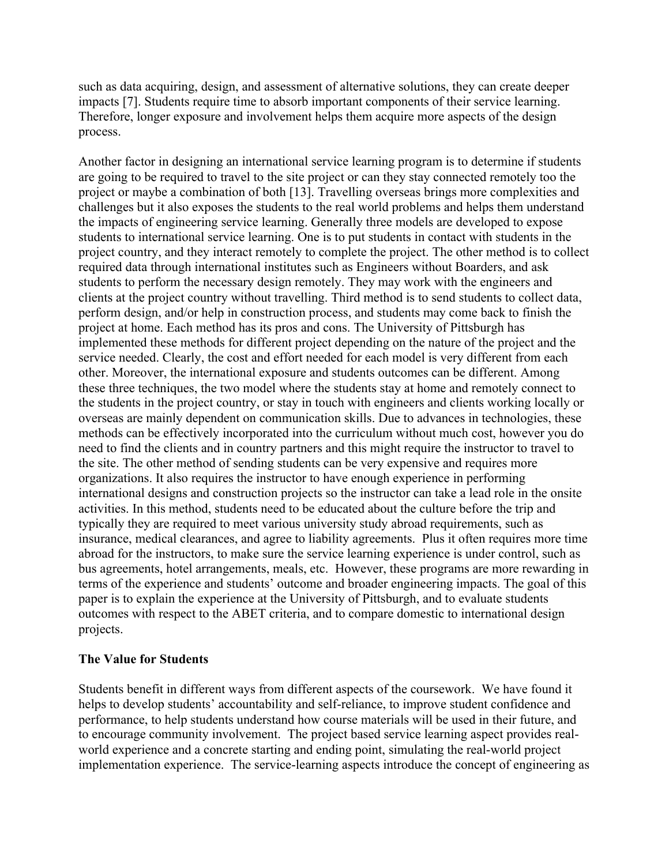such as data acquiring, design, and assessment of alternative solutions, they can create deeper impacts [7]. Students require time to absorb important components of their service learning. Therefore, longer exposure and involvement helps them acquire more aspects of the design process.

Another factor in designing an international service learning program is to determine if students are going to be required to travel to the site project or can they stay connected remotely too the project or maybe a combination of both [13]. Travelling overseas brings more complexities and challenges but it also exposes the students to the real world problems and helps them understand the impacts of engineering service learning. Generally three models are developed to expose students to international service learning. One is to put students in contact with students in the project country, and they interact remotely to complete the project. The other method is to collect required data through international institutes such as Engineers without Boarders, and ask students to perform the necessary design remotely. They may work with the engineers and clients at the project country without travelling. Third method is to send students to collect data, perform design, and/or help in construction process, and students may come back to finish the project at home. Each method has its pros and cons. The University of Pittsburgh has implemented these methods for different project depending on the nature of the project and the service needed. Clearly, the cost and effort needed for each model is very different from each other. Moreover, the international exposure and students outcomes can be different. Among these three techniques, the two model where the students stay at home and remotely connect to the students in the project country, or stay in touch with engineers and clients working locally or overseas are mainly dependent on communication skills. Due to advances in technologies, these methods can be effectively incorporated into the curriculum without much cost, however you do need to find the clients and in country partners and this might require the instructor to travel to the site. The other method of sending students can be very expensive and requires more organizations. It also requires the instructor to have enough experience in performing international designs and construction projects so the instructor can take a lead role in the onsite activities. In this method, students need to be educated about the culture before the trip and typically they are required to meet various university study abroad requirements, such as insurance, medical clearances, and agree to liability agreements. Plus it often requires more time abroad for the instructors, to make sure the service learning experience is under control, such as bus agreements, hotel arrangements, meals, etc. However, these programs are more rewarding in terms of the experience and students' outcome and broader engineering impacts. The goal of this paper is to explain the experience at the University of Pittsburgh, and to evaluate students outcomes with respect to the ABET criteria, and to compare domestic to international design projects.

### **The Value for Students**

Students benefit in different ways from different aspects of the coursework. We have found it helps to develop students' accountability and self-reliance, to improve student confidence and performance, to help students understand how course materials will be used in their future, and to encourage community involvement. The project based service learning aspect provides realworld experience and a concrete starting and ending point, simulating the real-world project implementation experience. The service-learning aspects introduce the concept of engineering as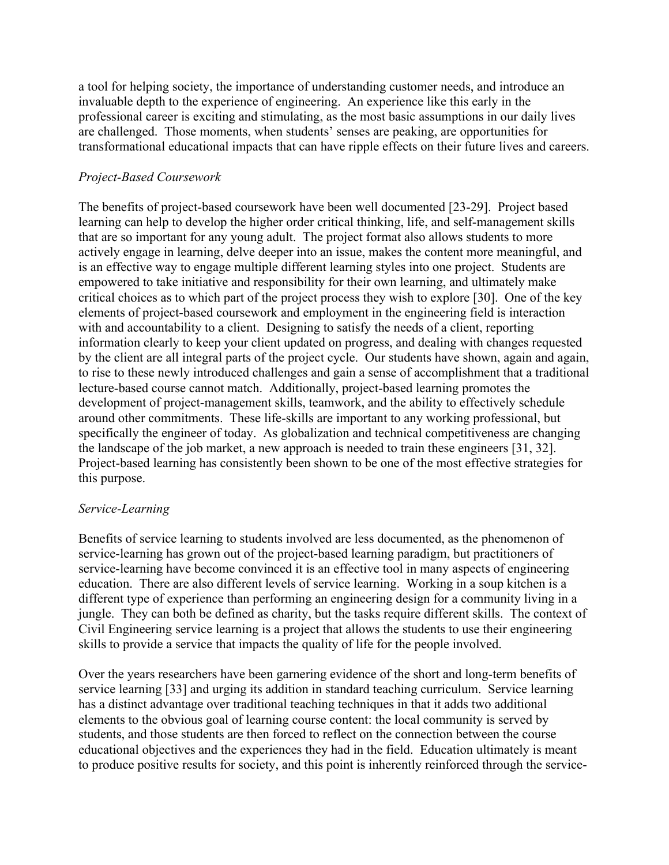a tool for helping society, the importance of understanding customer needs, and introduce an invaluable depth to the experience of engineering. An experience like this early in the professional career is exciting and stimulating, as the most basic assumptions in our daily lives are challenged. Those moments, when students' senses are peaking, are opportunities for transformational educational impacts that can have ripple effects on their future lives and careers.

# *Project-Based Coursework*

The benefits of project-based coursework have been well documented [23-29]. Project based learning can help to develop the higher order critical thinking, life, and self-management skills that are so important for any young adult. The project format also allows students to more actively engage in learning, delve deeper into an issue, makes the content more meaningful, and is an effective way to engage multiple different learning styles into one project. Students are empowered to take initiative and responsibility for their own learning, and ultimately make critical choices as to which part of the project process they wish to explore [30]. One of the key elements of project-based coursework and employment in the engineering field is interaction with and accountability to a client. Designing to satisfy the needs of a client, reporting information clearly to keep your client updated on progress, and dealing with changes requested by the client are all integral parts of the project cycle. Our students have shown, again and again, to rise to these newly introduced challenges and gain a sense of accomplishment that a traditional lecture-based course cannot match. Additionally, project-based learning promotes the development of project-management skills, teamwork, and the ability to effectively schedule around other commitments. These life-skills are important to any working professional, but specifically the engineer of today. As globalization and technical competitiveness are changing the landscape of the job market, a new approach is needed to train these engineers [31, 32]. Project-based learning has consistently been shown to be one of the most effective strategies for this purpose.

### *Service-Learning*

Benefits of service learning to students involved are less documented, as the phenomenon of service-learning has grown out of the project-based learning paradigm, but practitioners of service-learning have become convinced it is an effective tool in many aspects of engineering education. There are also different levels of service learning. Working in a soup kitchen is a different type of experience than performing an engineering design for a community living in a jungle. They can both be defined as charity, but the tasks require different skills. The context of Civil Engineering service learning is a project that allows the students to use their engineering skills to provide a service that impacts the quality of life for the people involved.

Over the years researchers have been garnering evidence of the short and long-term benefits of service learning [33] and urging its addition in standard teaching curriculum. Service learning has a distinct advantage over traditional teaching techniques in that it adds two additional elements to the obvious goal of learning course content: the local community is served by students, and those students are then forced to reflect on the connection between the course educational objectives and the experiences they had in the field. Education ultimately is meant to produce positive results for society, and this point is inherently reinforced through the service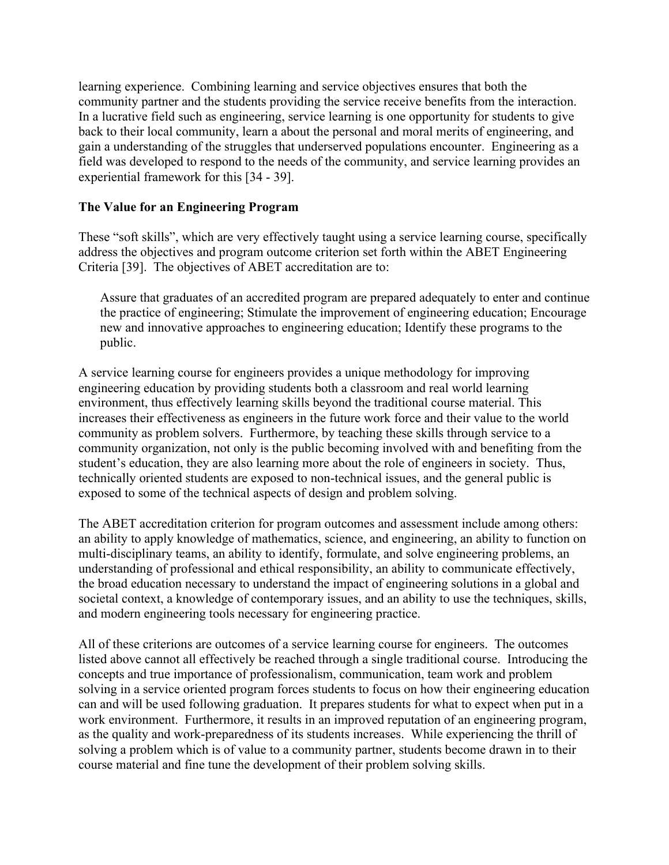learning experience. Combining learning and service objectives ensures that both the community partner and the students providing the service receive benefits from the interaction. In a lucrative field such as engineering, service learning is one opportunity for students to give back to their local community, learn a about the personal and moral merits of engineering, and gain a understanding of the struggles that underserved populations encounter. Engineering as a field was developed to respond to the needs of the community, and service learning provides an experiential framework for this [34 - 39].

# **The Value for an Engineering Program**

These "soft skills", which are very effectively taught using a service learning course, specifically address the objectives and program outcome criterion set forth within the ABET Engineering Criteria [39]. The objectives of ABET accreditation are to:

Assure that graduates of an accredited program are prepared adequately to enter and continue the practice of engineering; Stimulate the improvement of engineering education; Encourage new and innovative approaches to engineering education; Identify these programs to the public.

A service learning course for engineers provides a unique methodology for improving engineering education by providing students both a classroom and real world learning environment, thus effectively learning skills beyond the traditional course material. This increases their effectiveness as engineers in the future work force and their value to the world community as problem solvers. Furthermore, by teaching these skills through service to a community organization, not only is the public becoming involved with and benefiting from the student's education, they are also learning more about the role of engineers in society. Thus, technically oriented students are exposed to non-technical issues, and the general public is exposed to some of the technical aspects of design and problem solving.

The ABET accreditation criterion for program outcomes and assessment include among others: an ability to apply knowledge of mathematics, science, and engineering, an ability to function on multi-disciplinary teams, an ability to identify, formulate, and solve engineering problems, an understanding of professional and ethical responsibility, an ability to communicate effectively, the broad education necessary to understand the impact of engineering solutions in a global and societal context, a knowledge of contemporary issues, and an ability to use the techniques, skills, and modern engineering tools necessary for engineering practice.

All of these criterions are outcomes of a service learning course for engineers. The outcomes listed above cannot all effectively be reached through a single traditional course. Introducing the concepts and true importance of professionalism, communication, team work and problem solving in a service oriented program forces students to focus on how their engineering education can and will be used following graduation. It prepares students for what to expect when put in a work environment. Furthermore, it results in an improved reputation of an engineering program, as the quality and work-preparedness of its students increases. While experiencing the thrill of solving a problem which is of value to a community partner, students become drawn in to their course material and fine tune the development of their problem solving skills.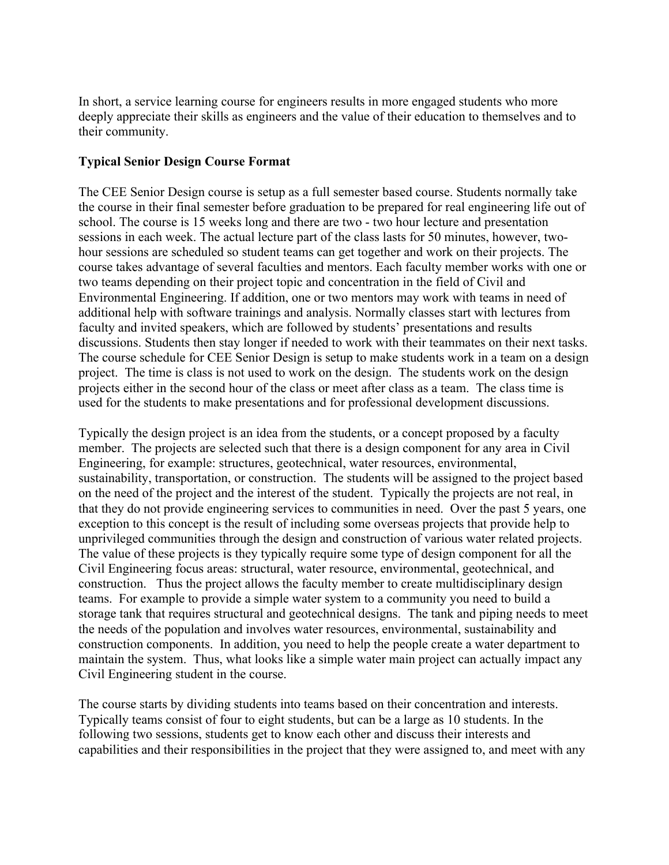In short, a service learning course for engineers results in more engaged students who more deeply appreciate their skills as engineers and the value of their education to themselves and to their community.

# **Typical Senior Design Course Format**

The CEE Senior Design course is setup as a full semester based course. Students normally take the course in their final semester before graduation to be prepared for real engineering life out of school. The course is 15 weeks long and there are two - two hour lecture and presentation sessions in each week. The actual lecture part of the class lasts for 50 minutes, however, twohour sessions are scheduled so student teams can get together and work on their projects. The course takes advantage of several faculties and mentors. Each faculty member works with one or two teams depending on their project topic and concentration in the field of Civil and Environmental Engineering. If addition, one or two mentors may work with teams in need of additional help with software trainings and analysis. Normally classes start with lectures from faculty and invited speakers, which are followed by students' presentations and results discussions. Students then stay longer if needed to work with their teammates on their next tasks. The course schedule for CEE Senior Design is setup to make students work in a team on a design project. The time is class is not used to work on the design. The students work on the design projects either in the second hour of the class or meet after class as a team. The class time is used for the students to make presentations and for professional development discussions.

Typically the design project is an idea from the students, or a concept proposed by a faculty member. The projects are selected such that there is a design component for any area in Civil Engineering, for example: structures, geotechnical, water resources, environmental, sustainability, transportation, or construction. The students will be assigned to the project based on the need of the project and the interest of the student. Typically the projects are not real, in that they do not provide engineering services to communities in need. Over the past 5 years, one exception to this concept is the result of including some overseas projects that provide help to unprivileged communities through the design and construction of various water related projects. The value of these projects is they typically require some type of design component for all the Civil Engineering focus areas: structural, water resource, environmental, geotechnical, and construction. Thus the project allows the faculty member to create multidisciplinary design teams. For example to provide a simple water system to a community you need to build a storage tank that requires structural and geotechnical designs. The tank and piping needs to meet the needs of the population and involves water resources, environmental, sustainability and construction components. In addition, you need to help the people create a water department to maintain the system. Thus, what looks like a simple water main project can actually impact any Civil Engineering student in the course.

The course starts by dividing students into teams based on their concentration and interests. Typically teams consist of four to eight students, but can be a large as 10 students. In the following two sessions, students get to know each other and discuss their interests and capabilities and their responsibilities in the project that they were assigned to, and meet with any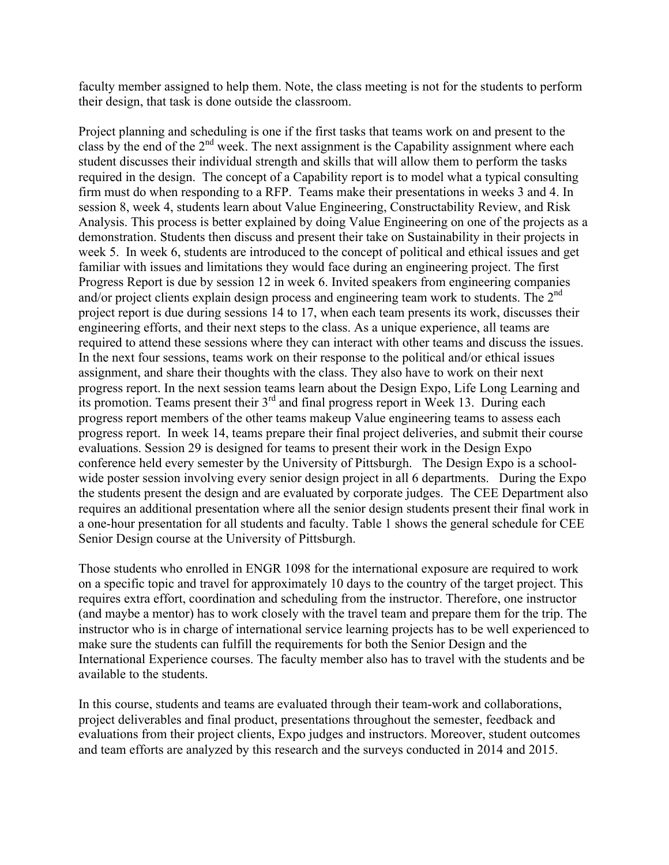faculty member assigned to help them. Note, the class meeting is not for the students to perform their design, that task is done outside the classroom.

Project planning and scheduling is one if the first tasks that teams work on and present to the class by the end of the  $2<sup>nd</sup>$  week. The next assignment is the Capability assignment where each student discusses their individual strength and skills that will allow them to perform the tasks required in the design. The concept of a Capability report is to model what a typical consulting firm must do when responding to a RFP. Teams make their presentations in weeks 3 and 4. In session 8, week 4, students learn about Value Engineering, Constructability Review, and Risk Analysis. This process is better explained by doing Value Engineering on one of the projects as a demonstration. Students then discuss and present their take on Sustainability in their projects in week 5. In week 6, students are introduced to the concept of political and ethical issues and get familiar with issues and limitations they would face during an engineering project. The first Progress Report is due by session 12 in week 6. Invited speakers from engineering companies and/or project clients explain design process and engineering team work to students. The  $2<sup>nd</sup>$ project report is due during sessions 14 to 17, when each team presents its work, discusses their engineering efforts, and their next steps to the class. As a unique experience, all teams are required to attend these sessions where they can interact with other teams and discuss the issues. In the next four sessions, teams work on their response to the political and/or ethical issues assignment, and share their thoughts with the class. They also have to work on their next progress report. In the next session teams learn about the Design Expo, Life Long Learning and its promotion. Teams present their 3<sup>rd</sup> and final progress report in Week 13. During each progress report members of the other teams makeup Value engineering teams to assess each progress report. In week 14, teams prepare their final project deliveries, and submit their course evaluations. Session 29 is designed for teams to present their work in the Design Expo conference held every semester by the University of Pittsburgh. The Design Expo is a schoolwide poster session involving every senior design project in all 6 departments. During the Expo the students present the design and are evaluated by corporate judges. The CEE Department also requires an additional presentation where all the senior design students present their final work in a one-hour presentation for all students and faculty. Table 1 shows the general schedule for CEE Senior Design course at the University of Pittsburgh.

Those students who enrolled in ENGR 1098 for the international exposure are required to work on a specific topic and travel for approximately 10 days to the country of the target project. This requires extra effort, coordination and scheduling from the instructor. Therefore, one instructor (and maybe a mentor) has to work closely with the travel team and prepare them for the trip. The instructor who is in charge of international service learning projects has to be well experienced to make sure the students can fulfill the requirements for both the Senior Design and the International Experience courses. The faculty member also has to travel with the students and be available to the students.

In this course, students and teams are evaluated through their team-work and collaborations, project deliverables and final product, presentations throughout the semester, feedback and evaluations from their project clients, Expo judges and instructors. Moreover, student outcomes and team efforts are analyzed by this research and the surveys conducted in 2014 and 2015.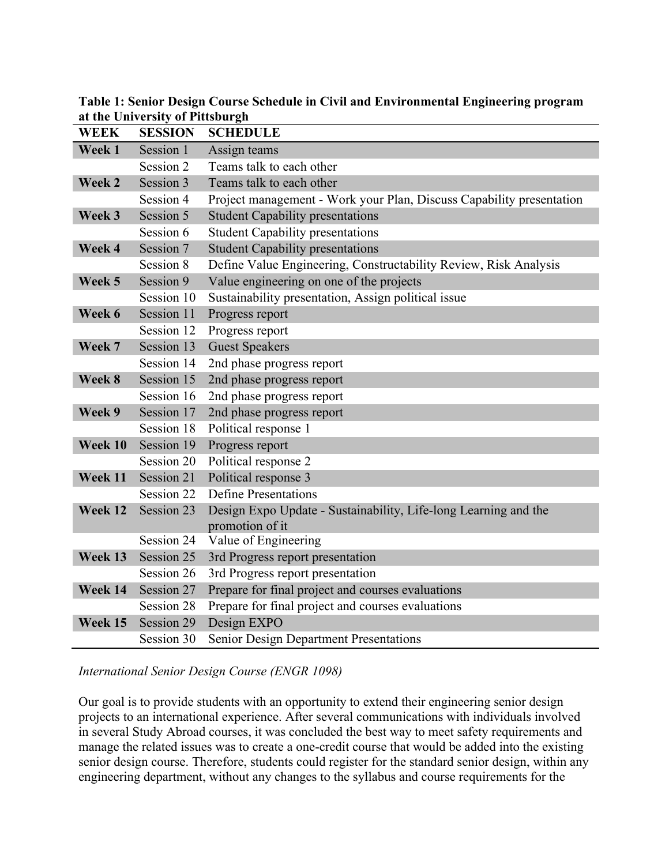**Table 1: Senior Design Course Schedule in Civil and Environmental Engineering program at the University of Pittsburgh**

| <b>WEEK</b> | <b>SESSION</b> | <b>SCHEDULE</b>                                                      |
|-------------|----------------|----------------------------------------------------------------------|
| Week 1      | Session 1      | Assign teams                                                         |
|             | Session 2      | Teams talk to each other                                             |
| Week 2      | Session 3      | Teams talk to each other                                             |
|             | Session 4      | Project management - Work your Plan, Discuss Capability presentation |
| Week 3      | Session 5      | <b>Student Capability presentations</b>                              |
|             | Session 6      | <b>Student Capability presentations</b>                              |
| Week 4      | Session 7      | <b>Student Capability presentations</b>                              |
|             | Session 8      | Define Value Engineering, Constructability Review, Risk Analysis     |
| Week 5      | Session 9      | Value engineering on one of the projects                             |
|             | Session 10     | Sustainability presentation, Assign political issue                  |
| Week 6      | Session 11     | Progress report                                                      |
|             | Session 12     | Progress report                                                      |
| Week 7      | Session 13     | <b>Guest Speakers</b>                                                |
|             | Session 14     | 2nd phase progress report                                            |
| Week 8      | Session 15     | 2nd phase progress report                                            |
|             | Session 16     | 2nd phase progress report                                            |
| Week 9      | Session 17     | 2nd phase progress report                                            |
|             | Session 18     | Political response 1                                                 |
| Week 10     | Session 19     | Progress report                                                      |
|             | Session 20     | Political response 2                                                 |
| Week 11     | Session 21     | Political response 3                                                 |
|             | Session 22     | <b>Define Presentations</b>                                          |
| Week 12     | Session 23     | Design Expo Update - Sustainability, Life-long Learning and the      |
|             |                | promotion of it                                                      |
|             | Session 24     | Value of Engineering                                                 |
| Week 13     | Session 25     | 3rd Progress report presentation                                     |
|             | Session 26     | 3rd Progress report presentation                                     |
| Week 14     | Session 27     | Prepare for final project and courses evaluations                    |
|             | Session 28     | Prepare for final project and courses evaluations                    |
| Week 15     | Session 29     | Design EXPO                                                          |
|             | Session 30     | <b>Senior Design Department Presentations</b>                        |

# *International Senior Design Course (ENGR 1098)*

Our goal is to provide students with an opportunity to extend their engineering senior design projects to an international experience. After several communications with individuals involved in several Study Abroad courses, it was concluded the best way to meet safety requirements and manage the related issues was to create a one-credit course that would be added into the existing senior design course. Therefore, students could register for the standard senior design, within any engineering department, without any changes to the syllabus and course requirements for the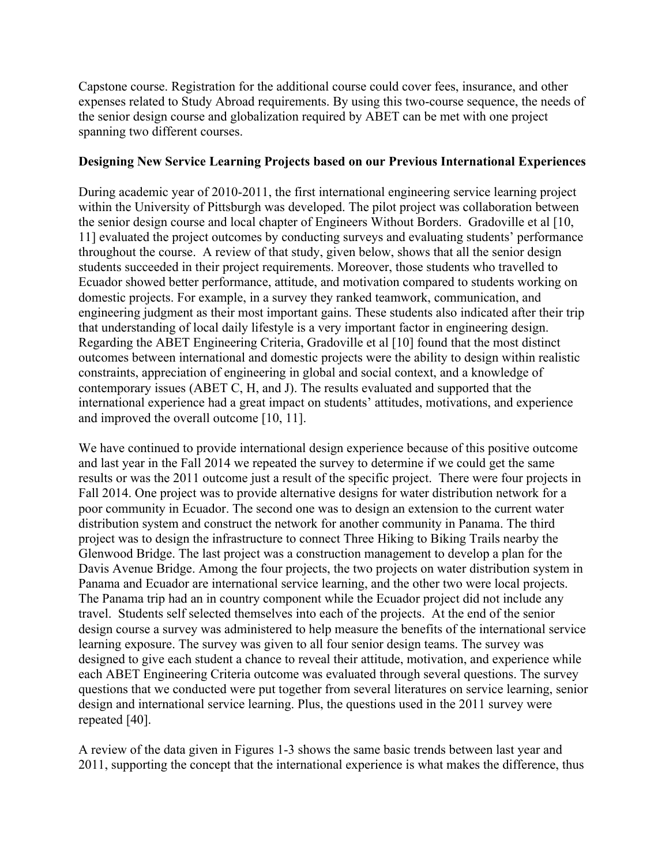Capstone course. Registration for the additional course could cover fees, insurance, and other expenses related to Study Abroad requirements. By using this two-course sequence, the needs of the senior design course and globalization required by ABET can be met with one project spanning two different courses.

### **Designing New Service Learning Projects based on our Previous International Experiences**

During academic year of 2010-2011, the first international engineering service learning project within the University of Pittsburgh was developed. The pilot project was collaboration between the senior design course and local chapter of Engineers Without Borders. Gradoville et al [10, 11] evaluated the project outcomes by conducting surveys and evaluating students' performance throughout the course. A review of that study, given below, shows that all the senior design students succeeded in their project requirements. Moreover, those students who travelled to Ecuador showed better performance, attitude, and motivation compared to students working on domestic projects. For example, in a survey they ranked teamwork, communication, and engineering judgment as their most important gains. These students also indicated after their trip that understanding of local daily lifestyle is a very important factor in engineering design. Regarding the ABET Engineering Criteria, Gradoville et al [10] found that the most distinct outcomes between international and domestic projects were the ability to design within realistic constraints, appreciation of engineering in global and social context, and a knowledge of contemporary issues (ABET C, H, and J). The results evaluated and supported that the international experience had a great impact on students' attitudes, motivations, and experience and improved the overall outcome [10, 11].

We have continued to provide international design experience because of this positive outcome and last year in the Fall 2014 we repeated the survey to determine if we could get the same results or was the 2011 outcome just a result of the specific project. There were four projects in Fall 2014. One project was to provide alternative designs for water distribution network for a poor community in Ecuador. The second one was to design an extension to the current water distribution system and construct the network for another community in Panama. The third project was to design the infrastructure to connect Three Hiking to Biking Trails nearby the Glenwood Bridge. The last project was a construction management to develop a plan for the Davis Avenue Bridge. Among the four projects, the two projects on water distribution system in Panama and Ecuador are international service learning, and the other two were local projects. The Panama trip had an in country component while the Ecuador project did not include any travel. Students self selected themselves into each of the projects. At the end of the senior design course a survey was administered to help measure the benefits of the international service learning exposure. The survey was given to all four senior design teams. The survey was designed to give each student a chance to reveal their attitude, motivation, and experience while each ABET Engineering Criteria outcome was evaluated through several questions. The survey questions that we conducted were put together from several literatures on service learning, senior design and international service learning. Plus, the questions used in the 2011 survey were repeated [40].

A review of the data given in Figures 1-3 shows the same basic trends between last year and 2011, supporting the concept that the international experience is what makes the difference, thus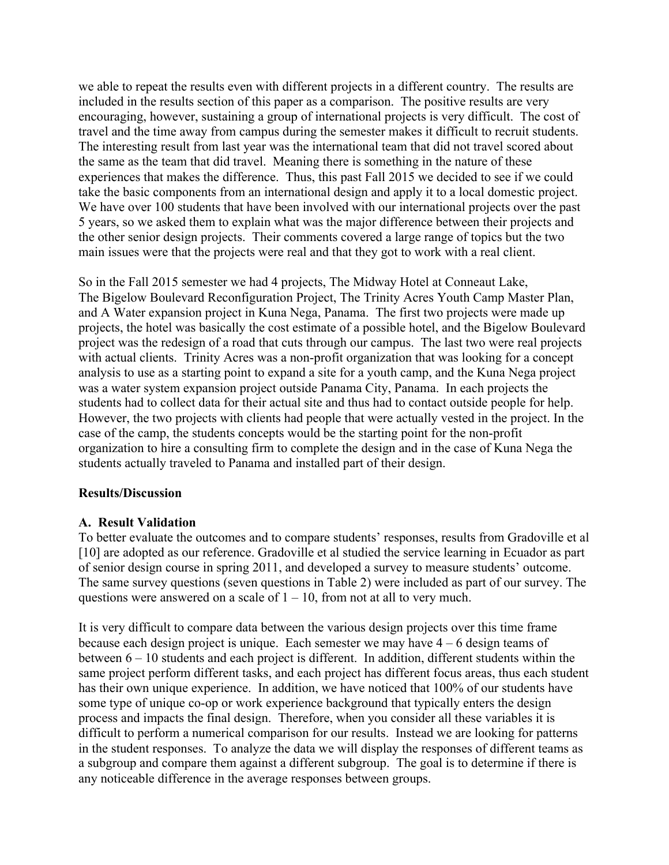we able to repeat the results even with different projects in a different country. The results are included in the results section of this paper as a comparison. The positive results are very encouraging, however, sustaining a group of international projects is very difficult. The cost of travel and the time away from campus during the semester makes it difficult to recruit students. The interesting result from last year was the international team that did not travel scored about the same as the team that did travel. Meaning there is something in the nature of these experiences that makes the difference. Thus, this past Fall 2015 we decided to see if we could take the basic components from an international design and apply it to a local domestic project. We have over 100 students that have been involved with our international projects over the past 5 years, so we asked them to explain what was the major difference between their projects and the other senior design projects. Their comments covered a large range of topics but the two main issues were that the projects were real and that they got to work with a real client.

So in the Fall 2015 semester we had 4 projects, The Midway Hotel at Conneaut Lake, The Bigelow Boulevard Reconfiguration Project, The Trinity Acres Youth Camp Master Plan, and A Water expansion project in Kuna Nega, Panama. The first two projects were made up projects, the hotel was basically the cost estimate of a possible hotel, and the Bigelow Boulevard project was the redesign of a road that cuts through our campus. The last two were real projects with actual clients. Trinity Acres was a non-profit organization that was looking for a concept analysis to use as a starting point to expand a site for a youth camp, and the Kuna Nega project was a water system expansion project outside Panama City, Panama. In each projects the students had to collect data for their actual site and thus had to contact outside people for help. However, the two projects with clients had people that were actually vested in the project. In the case of the camp, the students concepts would be the starting point for the non-profit organization to hire a consulting firm to complete the design and in the case of Kuna Nega the students actually traveled to Panama and installed part of their design.

### **Results/Discussion**

### **A. Result Validation**

To better evaluate the outcomes and to compare students' responses, results from Gradoville et al [10] are adopted as our reference. Gradoville et al studied the service learning in Ecuador as part of senior design course in spring 2011, and developed a survey to measure students' outcome. The same survey questions (seven questions in Table 2) were included as part of our survey. The questions were answered on a scale of  $1 - 10$ , from not at all to very much.

It is very difficult to compare data between the various design projects over this time frame because each design project is unique. Each semester we may have 4 – 6 design teams of between 6 – 10 students and each project is different. In addition, different students within the same project perform different tasks, and each project has different focus areas, thus each student has their own unique experience. In addition, we have noticed that 100% of our students have some type of unique co-op or work experience background that typically enters the design process and impacts the final design. Therefore, when you consider all these variables it is difficult to perform a numerical comparison for our results. Instead we are looking for patterns in the student responses. To analyze the data we will display the responses of different teams as a subgroup and compare them against a different subgroup. The goal is to determine if there is any noticeable difference in the average responses between groups.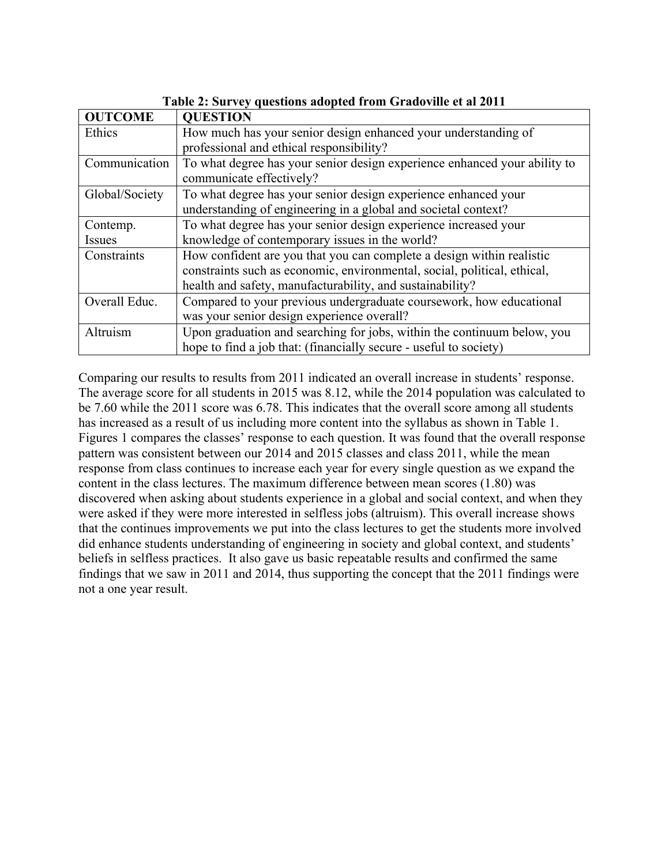| <b>OUTCOME</b> | <b>QUESTION</b>                                                           |
|----------------|---------------------------------------------------------------------------|
| Ethics         | How much has your senior design enhanced your understanding of            |
|                | professional and ethical responsibility?                                  |
| Communication  | To what degree has your senior design experience enhanced your ability to |
|                | communicate effectively?                                                  |
| Global/Society | To what degree has your senior design experience enhanced your            |
|                | understanding of engineering in a global and societal context?            |
| Contemp.       | To what degree has your senior design experience increased your           |
| Issues         | knowledge of contemporary issues in the world?                            |
| Constraints    | How confident are you that you can complete a design within realistic     |
|                | constraints such as economic, environmental, social, political, ethical,  |
|                | health and safety, manufacturability, and sustainability?                 |
| Overall Educ.  | Compared to your previous undergraduate coursework, how educational       |
|                | was your senior design experience overall?                                |
| Altruism       | Upon graduation and searching for jobs, within the continuum below, you   |
|                | hope to find a job that: (financially secure - useful to society)         |

**Table 2: Survey questions adopted from Gradoville et al 2011**

Comparing our results to results from 2011 indicated an overall increase in students' response. The average score for all students in 2015 was 8.12, while the 2014 population was calculated to be 7.60 while the 2011 score was 6.78. This indicates that the overall score among all students has increased as a result of us including more content into the syllabus as shown in Table 1. Figures 1 compares the classes' response to each question. It was found that the overall response pattern was consistent between our 2014 and 2015 classes and class 2011, while the mean response from class continues to increase each year for every single question as we expand the content in the class lectures. The maximum difference between mean scores (1.80) was discovered when asking about students experience in a global and social context, and when they were asked if they were more interested in selfless jobs (altruism). This overall increase shows that the continues improvements we put into the class lectures to get the students more involved did enhance students understanding of engineering in society and global context, and students' beliefs in selfless practices. It also gave us basic repeatable results and confirmed the same findings that we saw in 2011 and 2014, thus supporting the concept that the 2011 findings were not a one year result.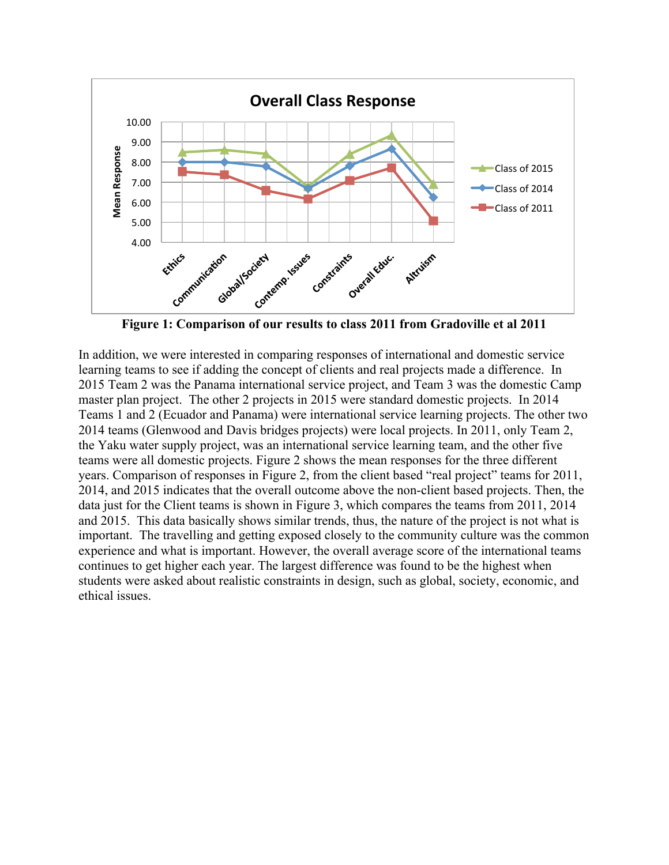

In addition, we were interested in comparing responses of international and domestic service learning teams to see if adding the concept of clients and real projects made a difference. In 2015 Team 2 was the Panama international service project, and Team 3 was the domestic Camp master plan project. The other 2 projects in 2015 were standard domestic projects. In 2014 Teams 1 and 2 (Ecuador and Panama) were international service learning projects. The other two 2014 teams (Glenwood and Davis bridges projects) were local projects. In 2011, only Team 2, the Yaku water supply project, was an international service learning team, and the other five teams were all domestic projects. Figure 2 shows the mean responses for the three different years. Comparison of responses in Figure 2, from the client based "real project" teams for 2011, 2014, and 2015 indicates that the overall outcome above the non-client based projects. Then, the data just for the Client teams is shown in Figure 3, which compares the teams from 2011, 2014 and 2015. This data basically shows similar trends, thus, the nature of the project is not what is important. The travelling and getting exposed closely to the community culture was the common experience and what is important. However, the overall average score of the international teams continues to get higher each year. The largest difference was found to be the highest when students were asked about realistic constraints in design, such as global, society, economic, and ethical issues.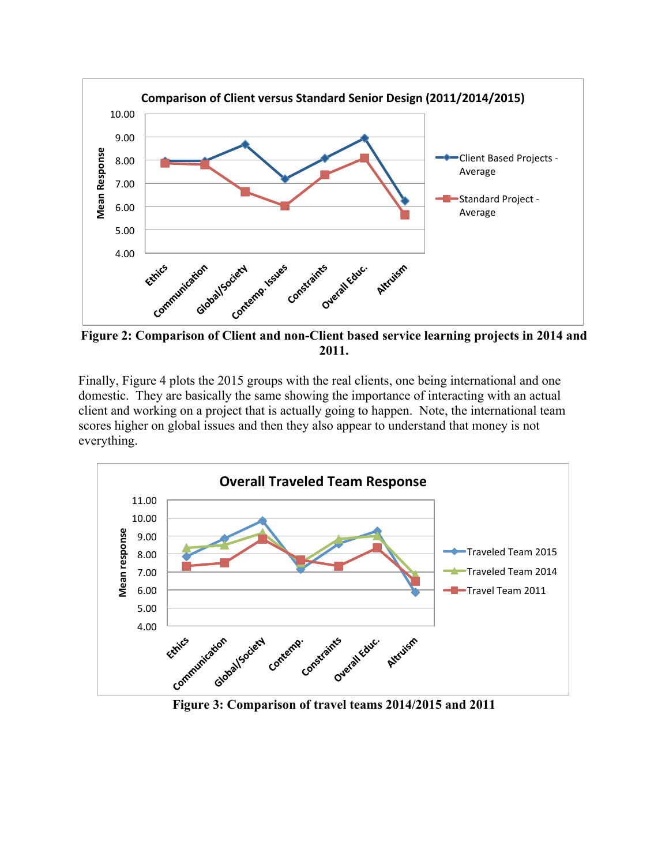

**Figure 2: Comparison of Client and non-Client based service learning projects in 2014 and 2011.**

Finally, Figure 4 plots the 2015 groups with the real clients, one being international and one domestic. They are basically the same showing the importance of interacting with an actual client and working on a project that is actually going to happen. Note, the international team scores higher on global issues and then they also appear to understand that money is not everything.

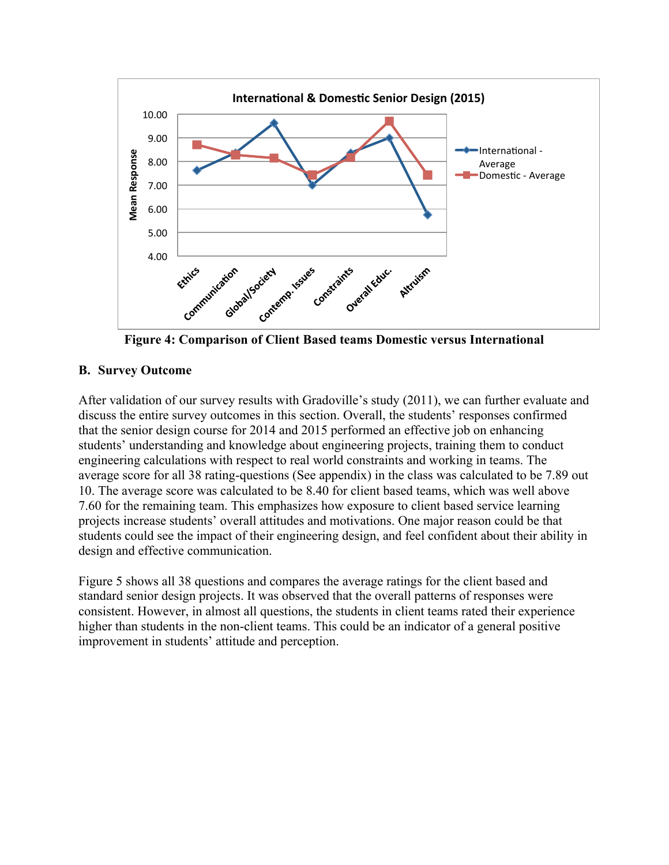

**Figure 4: Comparison of Client Based teams Domestic versus International**

# **B. Survey Outcome**

After validation of our survey results with Gradoville's study (2011), we can further evaluate and discuss the entire survey outcomes in this section. Overall, the students' responses confirmed that the senior design course for 2014 and 2015 performed an effective job on enhancing students' understanding and knowledge about engineering projects, training them to conduct engineering calculations with respect to real world constraints and working in teams. The average score for all 38 rating-questions (See appendix) in the class was calculated to be 7.89 out 10. The average score was calculated to be 8.40 for client based teams, which was well above 7.60 for the remaining team. This emphasizes how exposure to client based service learning projects increase students' overall attitudes and motivations. One major reason could be that students could see the impact of their engineering design, and feel confident about their ability in design and effective communication.

Figure 5 shows all 38 questions and compares the average ratings for the client based and standard senior design projects. It was observed that the overall patterns of responses were consistent. However, in almost all questions, the students in client teams rated their experience higher than students in the non-client teams. This could be an indicator of a general positive improvement in students' attitude and perception.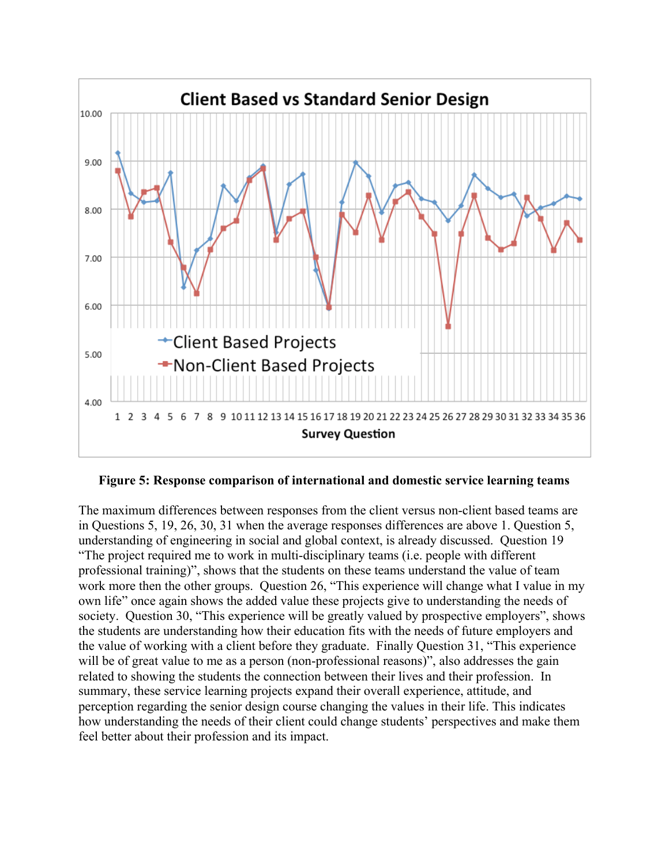

**Figure 5: Response comparison of international and domestic service learning teams**

The maximum differences between responses from the client versus non-client based teams are in Questions 5, 19, 26, 30, 31 when the average responses differences are above 1. Question 5, understanding of engineering in social and global context, is already discussed. Question 19 "The project required me to work in multi-disciplinary teams (i.e. people with different professional training)", shows that the students on these teams understand the value of team work more then the other groups. Question 26, "This experience will change what I value in my own life" once again shows the added value these projects give to understanding the needs of society. Question 30, "This experience will be greatly valued by prospective employers", shows the students are understanding how their education fits with the needs of future employers and the value of working with a client before they graduate. Finally Question 31, "This experience will be of great value to me as a person (non-professional reasons)", also addresses the gain related to showing the students the connection between their lives and their profession. In summary, these service learning projects expand their overall experience, attitude, and perception regarding the senior design course changing the values in their life. This indicates how understanding the needs of their client could change students' perspectives and make them feel better about their profession and its impact.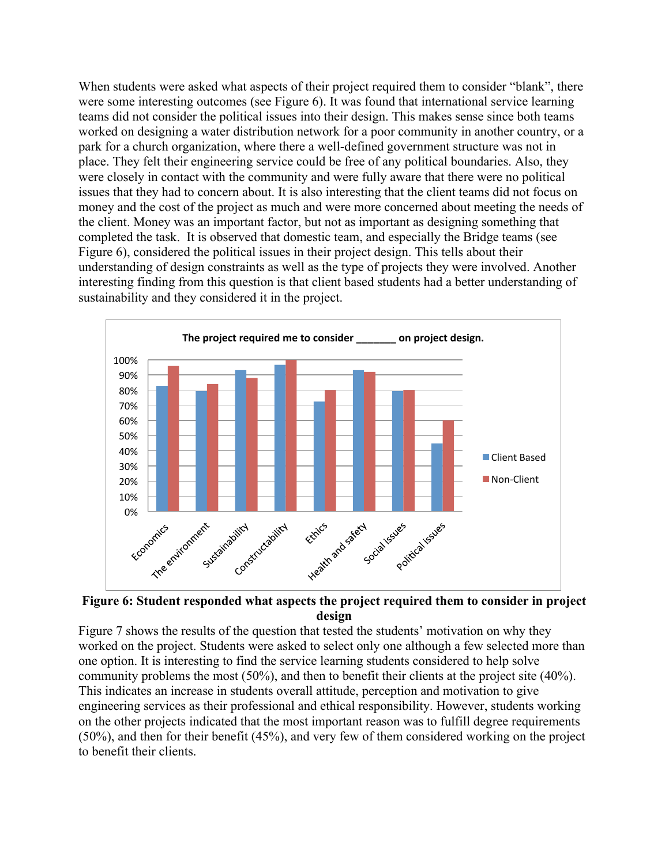When students were asked what aspects of their project required them to consider "blank", there were some interesting outcomes (see Figure 6). It was found that international service learning teams did not consider the political issues into their design. This makes sense since both teams worked on designing a water distribution network for a poor community in another country, or a park for a church organization, where there a well-defined government structure was not in place. They felt their engineering service could be free of any political boundaries. Also, they were closely in contact with the community and were fully aware that there were no political issues that they had to concern about. It is also interesting that the client teams did not focus on money and the cost of the project as much and were more concerned about meeting the needs of the client. Money was an important factor, but not as important as designing something that completed the task. It is observed that domestic team, and especially the Bridge teams (see Figure 6), considered the political issues in their project design. This tells about their understanding of design constraints as well as the type of projects they were involved. Another interesting finding from this question is that client based students had a better understanding of sustainability and they considered it in the project.



**Figure 6: Student responded what aspects the project required them to consider in project design**

Figure 7 shows the results of the question that tested the students' motivation on why they worked on the project. Students were asked to select only one although a few selected more than one option. It is interesting to find the service learning students considered to help solve community problems the most (50%), and then to benefit their clients at the project site (40%). This indicates an increase in students overall attitude, perception and motivation to give engineering services as their professional and ethical responsibility. However, students working on the other projects indicated that the most important reason was to fulfill degree requirements (50%), and then for their benefit (45%), and very few of them considered working on the project to benefit their clients.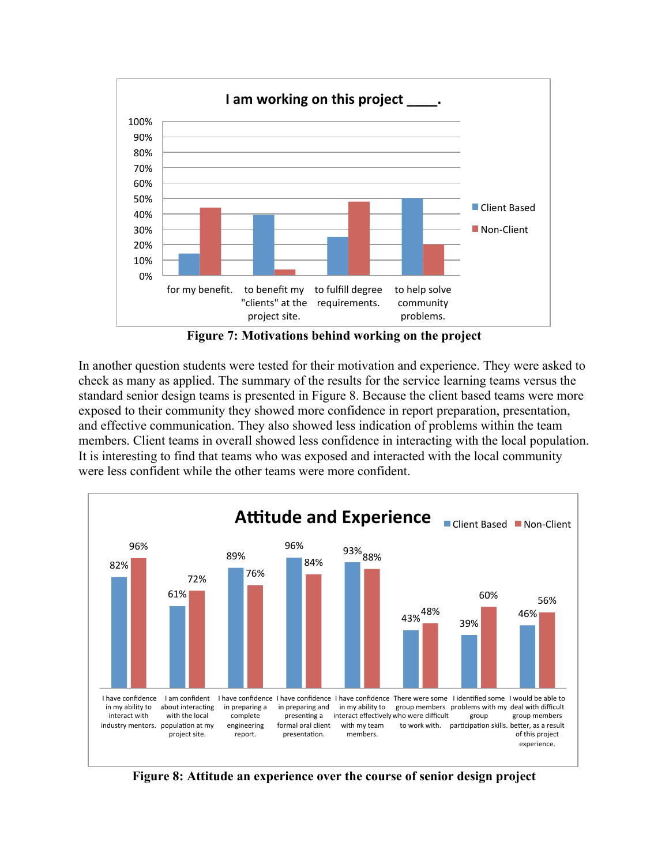

**Figure 7: Motivations behind working on the project**

In another question students were tested for their motivation and experience. They were asked to check as many as applied. The summary of the results for the service learning teams versus the standard senior design teams is presented in Figure 8. Because the client based teams were more exposed to their community they showed more confidence in report preparation, presentation, and effective communication. They also showed less indication of problems within the team members. Client teams in overall showed less confidence in interacting with the local population. It is interesting to find that teams who was exposed and interacted with the local community were less confident while the other teams were more confident.



**Figure 8: Attitude an experience over the course of senior design project**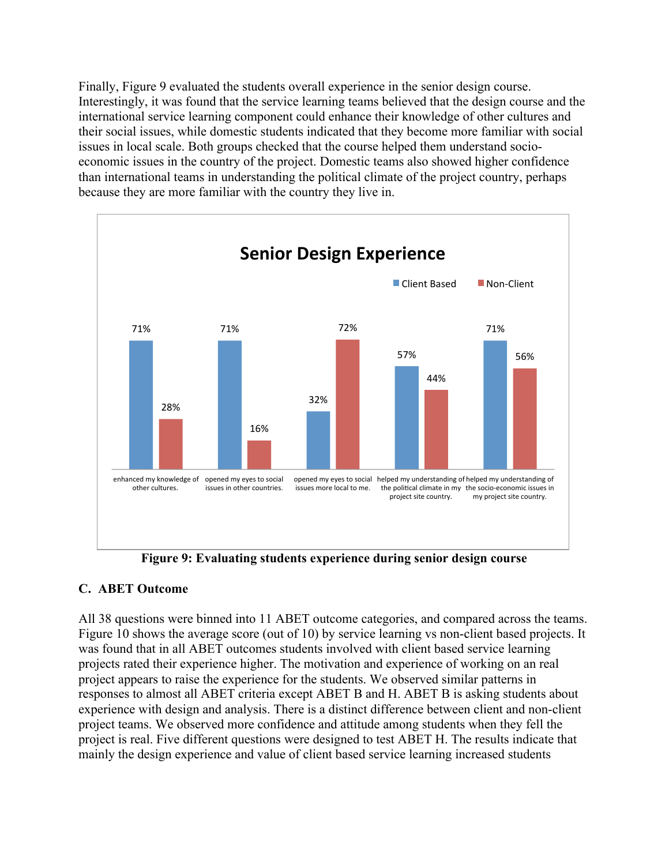Finally, Figure 9 evaluated the students overall experience in the senior design course. Interestingly, it was found that the service learning teams believed that the design course and the international service learning component could enhance their knowledge of other cultures and their social issues, while domestic students indicated that they become more familiar with social issues in local scale. Both groups checked that the course helped them understand socioeconomic issues in the country of the project. Domestic teams also showed higher confidence than international teams in understanding the political climate of the project country, perhaps because they are more familiar with the country they live in.



**Figure 9: Evaluating students experience during senior design course**

# **C. ABET Outcome**

All 38 questions were binned into 11 ABET outcome categories, and compared across the teams. Figure 10 shows the average score (out of 10) by service learning vs non-client based projects. It was found that in all ABET outcomes students involved with client based service learning projects rated their experience higher. The motivation and experience of working on an real project appears to raise the experience for the students. We observed similar patterns in responses to almost all ABET criteria except ABET B and H. ABET B is asking students about experience with design and analysis. There is a distinct difference between client and non-client project teams. We observed more confidence and attitude among students when they fell the project is real. Five different questions were designed to test ABET H. The results indicate that mainly the design experience and value of client based service learning increased students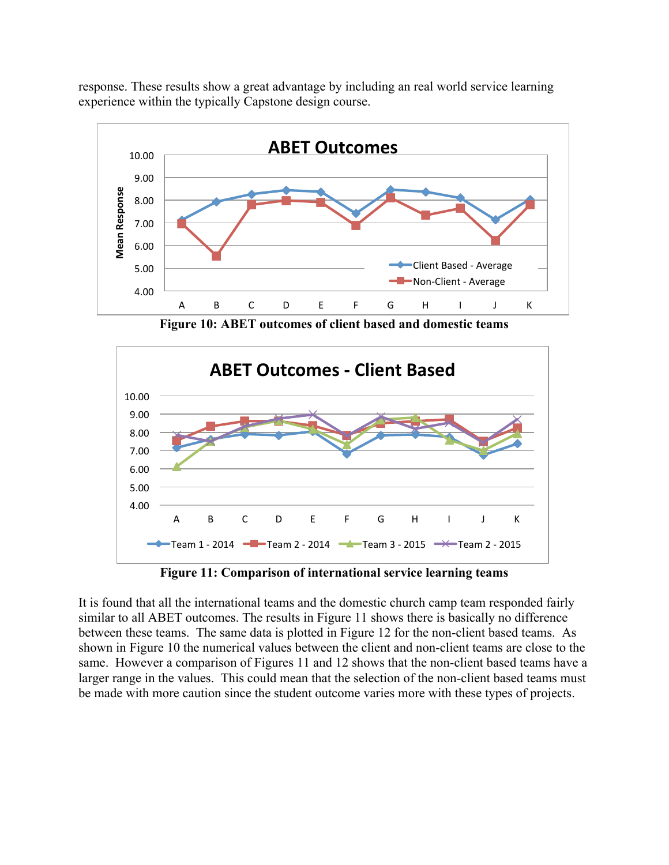response. These results show a great advantage by including an real world service learning experience within the typically Capstone design course.



**Figure 10: ABET outcomes of client based and domestic teams**



**Figure 11: Comparison of international service learning teams**

It is found that all the international teams and the domestic church camp team responded fairly similar to all ABET outcomes. The results in Figure 11 shows there is basically no difference between these teams. The same data is plotted in Figure 12 for the non-client based teams. As shown in Figure 10 the numerical values between the client and non-client teams are close to the same. However a comparison of Figures 11 and 12 shows that the non-client based teams have a larger range in the values. This could mean that the selection of the non-client based teams must be made with more caution since the student outcome varies more with these types of projects.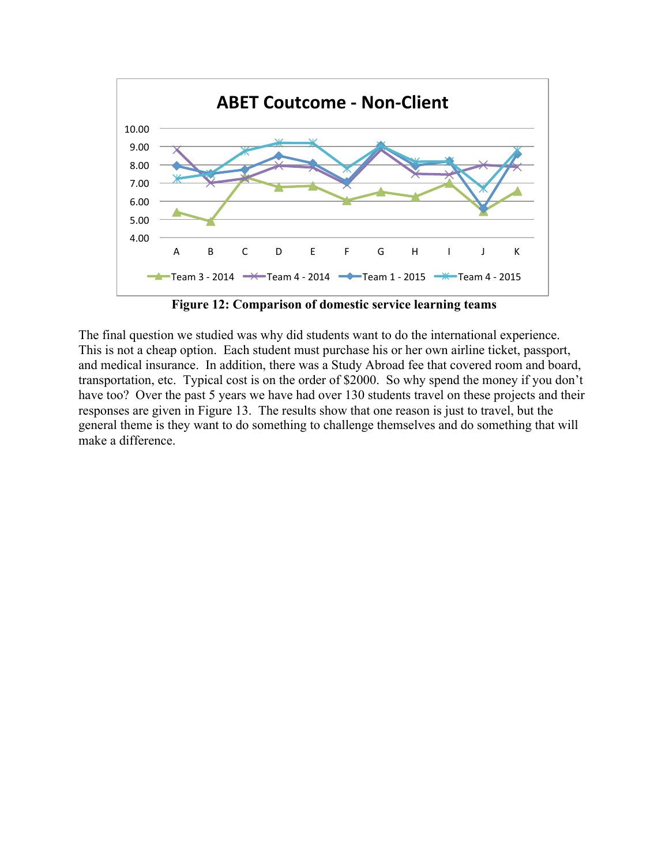

**Figure 12: Comparison of domestic service learning teams**

The final question we studied was why did students want to do the international experience. This is not a cheap option. Each student must purchase his or her own airline ticket, passport, and medical insurance. In addition, there was a Study Abroad fee that covered room and board, transportation, etc. Typical cost is on the order of \$2000. So why spend the money if you don't have too? Over the past 5 years we have had over 130 students travel on these projects and their responses are given in Figure 13. The results show that one reason is just to travel, but the general theme is they want to do something to challenge themselves and do something that will make a difference.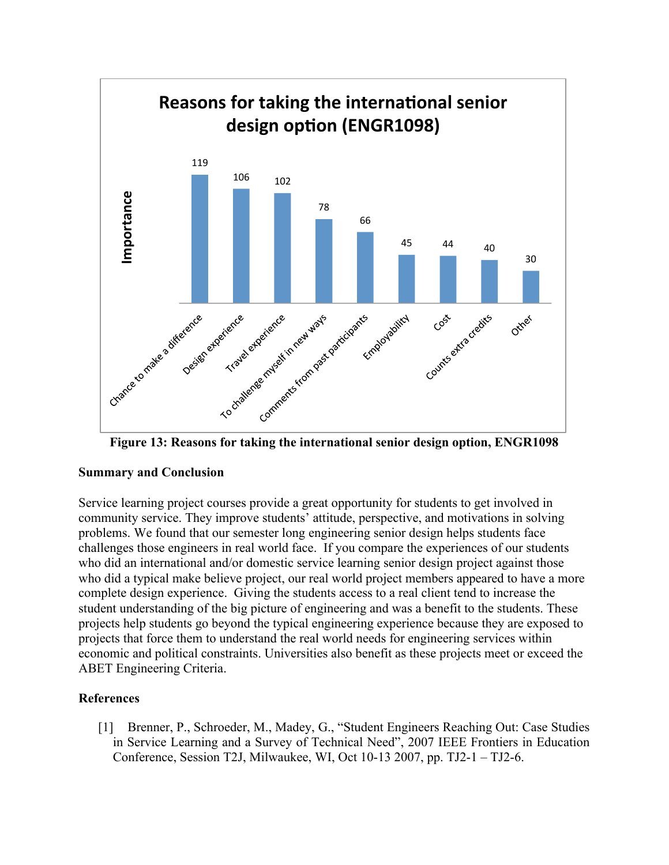

**Figure 13: Reasons for taking the international senior design option, ENGR1098**

### **Summary and Conclusion**

Service learning project courses provide a great opportunity for students to get involved in community service. They improve students' attitude, perspective, and motivations in solving problems. We found that our semester long engineering senior design helps students face challenges those engineers in real world face. If you compare the experiences of our students who did an international and/or domestic service learning senior design project against those who did a typical make believe project, our real world project members appeared to have a more complete design experience. Giving the students access to a real client tend to increase the student understanding of the big picture of engineering and was a benefit to the students. These projects help students go beyond the typical engineering experience because they are exposed to projects that force them to understand the real world needs for engineering services within economic and political constraints. Universities also benefit as these projects meet or exceed the ABET Engineering Criteria.

# **References**

[1] Brenner, P., Schroeder, M., Madey, G., "Student Engineers Reaching Out: Case Studies in Service Learning and a Survey of Technical Need", 2007 IEEE Frontiers in Education Conference, Session T2J, Milwaukee, WI, Oct 10-13 2007, pp. TJ2-1 – TJ2-6.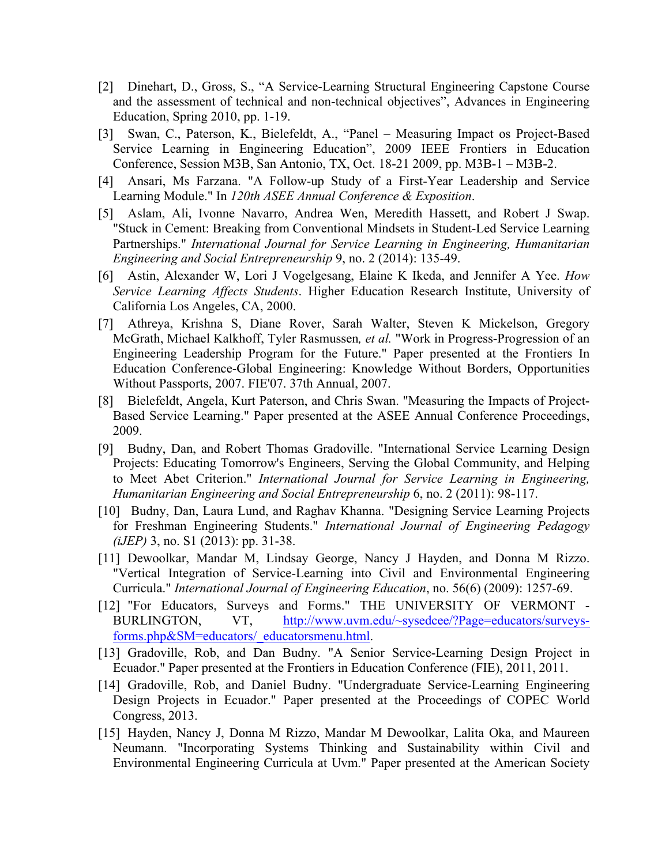- [2] Dinehart, D., Gross, S., "A Service-Learning Structural Engineering Capstone Course and the assessment of technical and non-technical objectives", Advances in Engineering Education, Spring 2010, pp. 1-19.
- [3] Swan, C., Paterson, K., Bielefeldt, A., "Panel Measuring Impact os Project-Based Service Learning in Engineering Education", 2009 IEEE Frontiers in Education Conference, Session M3B, San Antonio, TX, Oct. 18-21 2009, pp. M3B-1 – M3B-2.
- [4] Ansari, Ms Farzana. "A Follow-up Study of a First-Year Leadership and Service Learning Module." In *120th ASEE Annual Conference & Exposition*.
- [5] Aslam, Ali, Ivonne Navarro, Andrea Wen, Meredith Hassett, and Robert J Swap. "Stuck in Cement: Breaking from Conventional Mindsets in Student-Led Service Learning Partnerships." *International Journal for Service Learning in Engineering, Humanitarian Engineering and Social Entrepreneurship* 9, no. 2 (2014): 135-49.
- [6] Astin, Alexander W, Lori J Vogelgesang, Elaine K Ikeda, and Jennifer A Yee. *How Service Learning Affects Students*. Higher Education Research Institute, University of California Los Angeles, CA, 2000.
- [7] Athreya, Krishna S, Diane Rover, Sarah Walter, Steven K Mickelson, Gregory McGrath, Michael Kalkhoff, Tyler Rasmussen*, et al.* "Work in Progress-Progression of an Engineering Leadership Program for the Future." Paper presented at the Frontiers In Education Conference-Global Engineering: Knowledge Without Borders, Opportunities Without Passports, 2007. FIE'07. 37th Annual, 2007.
- [8] Bielefeldt, Angela, Kurt Paterson, and Chris Swan. "Measuring the Impacts of Project-Based Service Learning." Paper presented at the ASEE Annual Conference Proceedings, 2009.
- [9] Budny, Dan, and Robert Thomas Gradoville. "International Service Learning Design Projects: Educating Tomorrow's Engineers, Serving the Global Community, and Helping to Meet Abet Criterion." *International Journal for Service Learning in Engineering, Humanitarian Engineering and Social Entrepreneurship* 6, no. 2 (2011): 98-117.
- [10] Budny, Dan, Laura Lund, and Raghav Khanna. "Designing Service Learning Projects for Freshman Engineering Students." *International Journal of Engineering Pedagogy (iJEP)* 3, no. S1 (2013): pp. 31-38.
- [11] Dewoolkar, Mandar M, Lindsay George, Nancy J Hayden, and Donna M Rizzo. "Vertical Integration of Service-Learning into Civil and Environmental Engineering Curricula." *International Journal of Engineering Education*, no. 56(6) (2009): 1257-69.
- [12] "For Educators, Surveys and Forms." THE UNIVERSITY OF VERMONT BURLINGTON, VT, http://www.uvm.edu/~sysedcee/?Page=educators/surveysforms.php&SM=educators/\_educatorsmenu.html.
- [13] Gradoville, Rob, and Dan Budny. "A Senior Service-Learning Design Project in Ecuador." Paper presented at the Frontiers in Education Conference (FIE), 2011, 2011.
- [14] Gradoville, Rob, and Daniel Budny. "Undergraduate Service-Learning Engineering Design Projects in Ecuador." Paper presented at the Proceedings of COPEC World Congress, 2013.
- [15] Hayden, Nancy J, Donna M Rizzo, Mandar M Dewoolkar, Lalita Oka, and Maureen Neumann. "Incorporating Systems Thinking and Sustainability within Civil and Environmental Engineering Curricula at Uvm." Paper presented at the American Society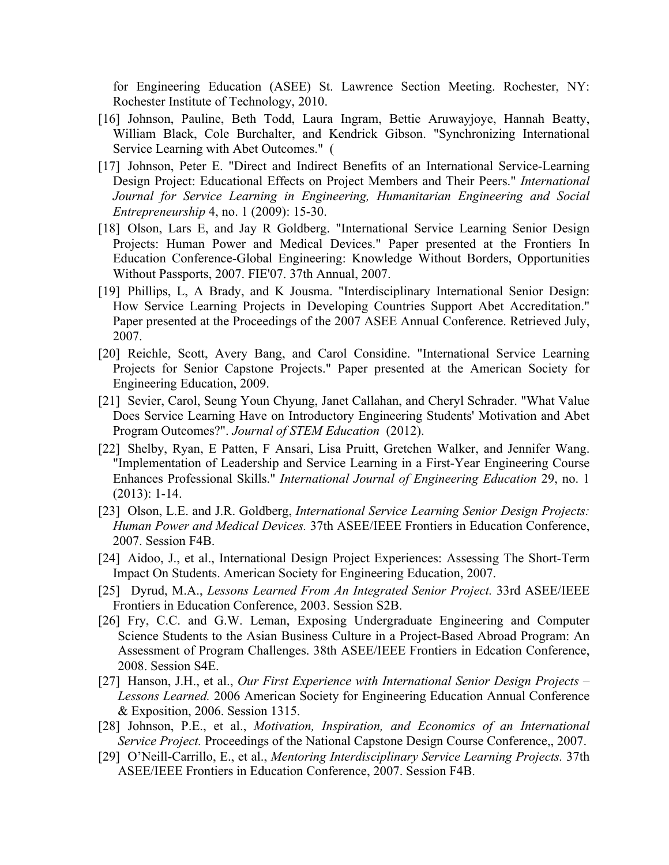for Engineering Education (ASEE) St. Lawrence Section Meeting. Rochester, NY: Rochester Institute of Technology, 2010.

- [16] Johnson, Pauline, Beth Todd, Laura Ingram, Bettie Aruwayjoye, Hannah Beatty, William Black, Cole Burchalter, and Kendrick Gibson. "Synchronizing International Service Learning with Abet Outcomes." (
- [17] Johnson, Peter E. "Direct and Indirect Benefits of an International Service-Learning Design Project: Educational Effects on Project Members and Their Peers." *International Journal for Service Learning in Engineering, Humanitarian Engineering and Social Entrepreneurship* 4, no. 1 (2009): 15-30.
- [18] Olson, Lars E, and Jay R Goldberg. "International Service Learning Senior Design Projects: Human Power and Medical Devices." Paper presented at the Frontiers In Education Conference-Global Engineering: Knowledge Without Borders, Opportunities Without Passports, 2007. FIE'07. 37th Annual, 2007.
- [19] Phillips, L, A Brady, and K Jousma. "Interdisciplinary International Senior Design: How Service Learning Projects in Developing Countries Support Abet Accreditation." Paper presented at the Proceedings of the 2007 ASEE Annual Conference. Retrieved July, 2007.
- [20] Reichle, Scott, Avery Bang, and Carol Considine. "International Service Learning Projects for Senior Capstone Projects." Paper presented at the American Society for Engineering Education, 2009.
- [21] Sevier, Carol, Seung Youn Chyung, Janet Callahan, and Cheryl Schrader. "What Value Does Service Learning Have on Introductory Engineering Students' Motivation and Abet Program Outcomes?". *Journal of STEM Education* (2012).
- [22] Shelby, Ryan, E Patten, F Ansari, Lisa Pruitt, Gretchen Walker, and Jennifer Wang. "Implementation of Leadership and Service Learning in a First-Year Engineering Course Enhances Professional Skills." *International Journal of Engineering Education* 29, no. 1 (2013): 1-14.
- [23] Olson, L.E. and J.R. Goldberg, *International Service Learning Senior Design Projects: Human Power and Medical Devices.* 37th ASEE/IEEE Frontiers in Education Conference, 2007. Session F4B.
- [24] Aidoo, J., et al., International Design Project Experiences: Assessing The Short-Term Impact On Students. American Society for Engineering Education, 2007.
- [25] Dyrud, M.A., *Lessons Learned From An Integrated Senior Project.* 33rd ASEE/IEEE Frontiers in Education Conference, 2003. Session S2B.
- [26] Fry, C.C. and G.W. Leman, Exposing Undergraduate Engineering and Computer Science Students to the Asian Business Culture in a Project-Based Abroad Program: An Assessment of Program Challenges. 38th ASEE/IEEE Frontiers in Edcation Conference, 2008. Session S4E.
- [27] Hanson, J.H., et al., *Our First Experience with International Senior Design Projects – Lessons Learned.* 2006 American Society for Engineering Education Annual Conference & Exposition, 2006. Session 1315.
- [28] Johnson, P.E., et al., *Motivation, Inspiration, and Economics of an International Service Project.* Proceedings of the National Capstone Design Course Conference,, 2007.
- [29] O'Neill-Carrillo, E., et al., *Mentoring Interdisciplinary Service Learning Projects.* 37th ASEE/IEEE Frontiers in Education Conference, 2007. Session F4B.